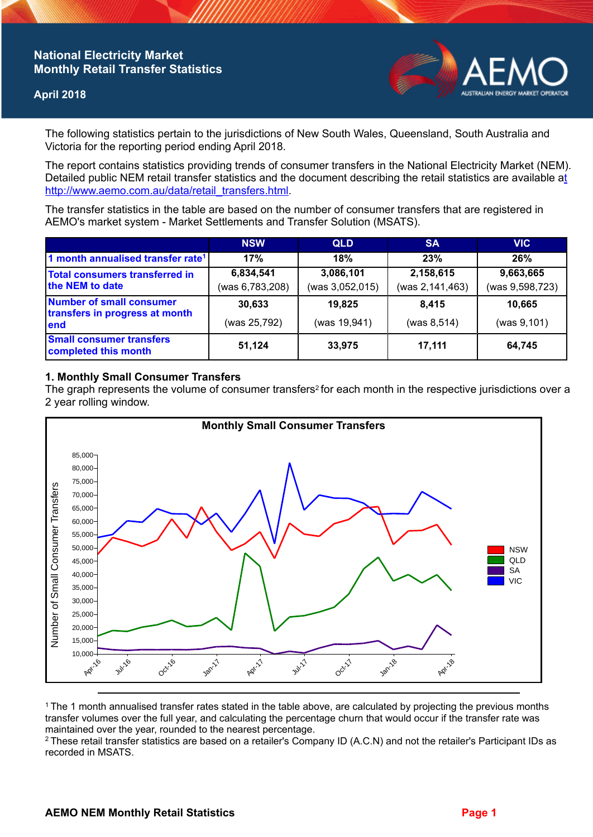# **National Electricity Market Monthly Retail Transfer Statistics**

### **April 2018**



The following statistics pertain to the jurisdictions of New South Wales, Queensland, South Australia and Victoria for the reporting period ending April 2018.

The report contains statistics providing trends of consumer transfers in the National Electricity Market (NEM). Detailed public NEM retail transfer statistics and the document describing the retail statistics are available a[t](http://www.aemo.com.au/data/retail_transfers.html)  http://www.aemo.com.au/data/retail\_transfers.html

The transfer statistics in the table are based on the number of consumer transfers that are registered in AEMO's market system - Market Settlements and Transfer Solution (MSATS).

|                                                                    | <b>NSW</b>                   | <b>QLD</b>                   | <b>SA</b>                    | <b>VIC</b>                   |
|--------------------------------------------------------------------|------------------------------|------------------------------|------------------------------|------------------------------|
| 1 month annualised transfer rate <sup>1</sup>                      | 17%                          | 18%                          | 23%                          | 26%                          |
| Total consumers transferred in<br>the NEM to date                  | 6,834,541<br>(was 6,783,208) | 3,086,101<br>(was 3,052,015) | 2,158,615<br>(was 2,141,463) | 9,663,665<br>(was 9,598,723) |
| Number of small consumer<br>transfers in progress at month<br>lend | 30,633<br>(was 25,792)       | 19,825<br>(was 19,941)       | 8.415<br>(was 8, 514)        | 10,665<br>(was 9, 101)       |
| <b>Small consumer transfers</b><br>completed this month            | 51,124                       | 33,975                       | 17,111                       | 64,745                       |

## **1. Monthly Small Consumer Transfers**

The graph represents the volume of consumer transfers<sup>2</sup> for each month in the respective jurisdictions over a 2 year rolling window.



<sup>1</sup>The 1 month annualised transfer rates stated in the table above, are calculated by projecting the previous months transfer volumes over the full year, and calculating the percentage churn that would occur if the transfer rate was maintained over the year, rounded to the nearest percentage.

<sup>2</sup> These retail transfer statistics are based on a retailer's Company ID (A.C.N) and not the retailer's Participant IDs as recorded in MSATS.